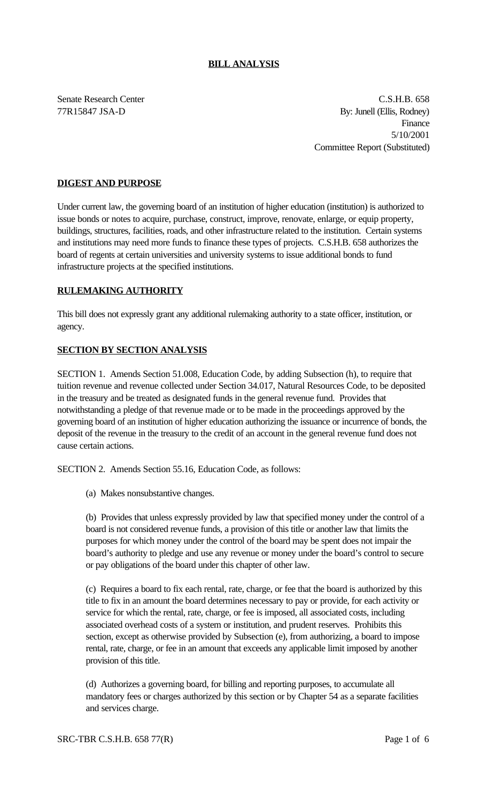## **BILL ANALYSIS**

Senate Research Center Cases and C.S.H.B. 658 77R15847 JSA-D By: Junell (Ellis, Rodney) Finance 5/10/2001 Committee Report (Substituted)

## **DIGEST AND PURPOSE**

Under current law, the governing board of an institution of higher education (institution) is authorized to issue bonds or notes to acquire, purchase, construct, improve, renovate, enlarge, or equip property, buildings, structures, facilities, roads, and other infrastructure related to the institution. Certain systems and institutions may need more funds to finance these types of projects. C.S.H.B. 658 authorizes the board of regents at certain universities and university systems to issue additional bonds to fund infrastructure projects at the specified institutions.

## **RULEMAKING AUTHORITY**

This bill does not expressly grant any additional rulemaking authority to a state officer, institution, or agency.

## **SECTION BY SECTION ANALYSIS**

SECTION 1. Amends Section 51.008, Education Code, by adding Subsection (h), to require that tuition revenue and revenue collected under Section 34.017, Natural Resources Code, to be deposited in the treasury and be treated as designated funds in the general revenue fund. Provides that notwithstanding a pledge of that revenue made or to be made in the proceedings approved by the governing board of an institution of higher education authorizing the issuance or incurrence of bonds, the deposit of the revenue in the treasury to the credit of an account in the general revenue fund does not cause certain actions.

SECTION 2. Amends Section 55.16, Education Code, as follows:

(a) Makes nonsubstantive changes.

(b) Provides that unless expressly provided by law that specified money under the control of a board is not considered revenue funds, a provision of this title or another law that limits the purposes for which money under the control of the board may be spent does not impair the board's authority to pledge and use any revenue or money under the board's control to secure or pay obligations of the board under this chapter of other law.

(c) Requires a board to fix each rental, rate, charge, or fee that the board is authorized by this title to fix in an amount the board determines necessary to pay or provide, for each activity or service for which the rental, rate, charge, or fee is imposed, all associated costs, including associated overhead costs of a system or institution, and prudent reserves. Prohibits this section, except as otherwise provided by Subsection (e), from authorizing, a board to impose rental, rate, charge, or fee in an amount that exceeds any applicable limit imposed by another provision of this title.

(d) Authorizes a governing board, for billing and reporting purposes, to accumulate all mandatory fees or charges authorized by this section or by Chapter 54 as a separate facilities and services charge.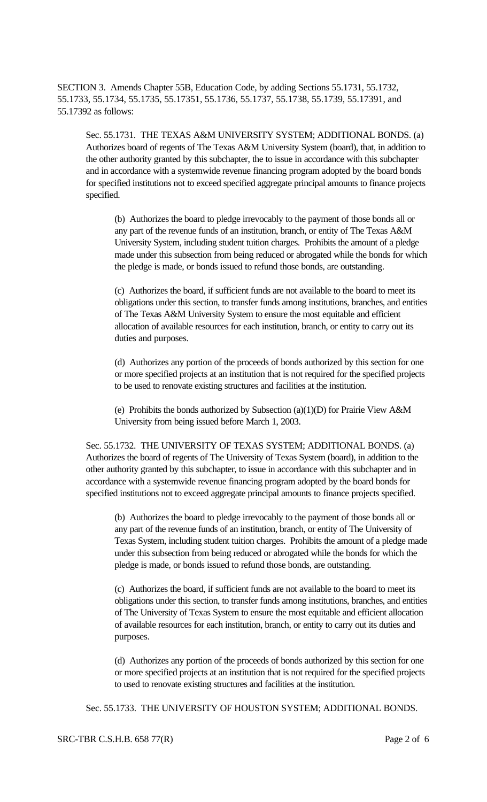SECTION 3. Amends Chapter 55B, Education Code, by adding Sections 55.1731, 55.1732, 55.1733, 55.1734, 55.1735, 55.17351, 55.1736, 55.1737, 55.1738, 55.1739, 55.17391, and 55.17392 as follows:

Sec. 55.1731. THE TEXAS A&M UNIVERSITY SYSTEM; ADDITIONAL BONDS. (a) Authorizes board of regents of The Texas A&M University System (board), that, in addition to the other authority granted by this subchapter, the to issue in accordance with this subchapter and in accordance with a systemwide revenue financing program adopted by the board bonds for specified institutions not to exceed specified aggregate principal amounts to finance projects specified.

(b) Authorizes the board to pledge irrevocably to the payment of those bonds all or any part of the revenue funds of an institution, branch, or entity of The Texas A&M University System, including student tuition charges. Prohibits the amount of a pledge made under this subsection from being reduced or abrogated while the bonds for which the pledge is made, or bonds issued to refund those bonds, are outstanding.

(c) Authorizes the board, if sufficient funds are not available to the board to meet its obligations under this section, to transfer funds among institutions, branches, and entities of The Texas A&M University System to ensure the most equitable and efficient allocation of available resources for each institution, branch, or entity to carry out its duties and purposes.

(d) Authorizes any portion of the proceeds of bonds authorized by this section for one or more specified projects at an institution that is not required for the specified projects to be used to renovate existing structures and facilities at the institution.

(e) Prohibits the bonds authorized by Subsection (a)(1)(D) for Prairie View A&M University from being issued before March 1, 2003.

Sec. 55.1732. THE UNIVERSITY OF TEXAS SYSTEM; ADDITIONAL BONDS. (a) Authorizes the board of regents of The University of Texas System (board), in addition to the other authority granted by this subchapter, to issue in accordance with this subchapter and in accordance with a systemwide revenue financing program adopted by the board bonds for specified institutions not to exceed aggregate principal amounts to finance projects specified.

(b) Authorizes the board to pledge irrevocably to the payment of those bonds all or any part of the revenue funds of an institution, branch, or entity of The University of Texas System, including student tuition charges. Prohibits the amount of a pledge made under this subsection from being reduced or abrogated while the bonds for which the pledge is made, or bonds issued to refund those bonds, are outstanding.

(c) Authorizes the board, if sufficient funds are not available to the board to meet its obligations under this section, to transfer funds among institutions, branches, and entities of The University of Texas System to ensure the most equitable and efficient allocation of available resources for each institution, branch, or entity to carry out its duties and purposes.

(d) Authorizes any portion of the proceeds of bonds authorized by this section for one or more specified projects at an institution that is not required for the specified projects to used to renovate existing structures and facilities at the institution.

Sec. 55.1733. THE UNIVERSITY OF HOUSTON SYSTEM; ADDITIONAL BONDS.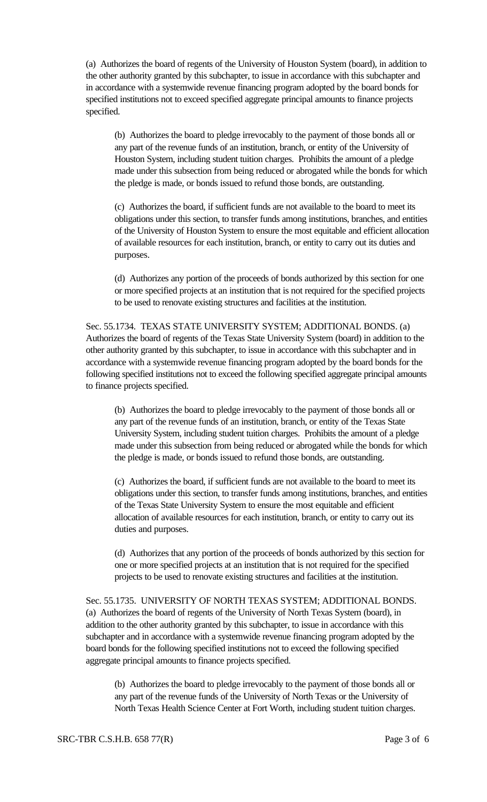(a) Authorizes the board of regents of the University of Houston System (board), in addition to the other authority granted by this subchapter, to issue in accordance with this subchapter and in accordance with a systemwide revenue financing program adopted by the board bonds for specified institutions not to exceed specified aggregate principal amounts to finance projects specified.

(b) Authorizes the board to pledge irrevocably to the payment of those bonds all or any part of the revenue funds of an institution, branch, or entity of the University of Houston System, including student tuition charges. Prohibits the amount of a pledge made under this subsection from being reduced or abrogated while the bonds for which the pledge is made, or bonds issued to refund those bonds, are outstanding.

(c) Authorizes the board, if sufficient funds are not available to the board to meet its obligations under this section, to transfer funds among institutions, branches, and entities of the University of Houston System to ensure the most equitable and efficient allocation of available resources for each institution, branch, or entity to carry out its duties and purposes.

(d) Authorizes any portion of the proceeds of bonds authorized by this section for one or more specified projects at an institution that is not required for the specified projects to be used to renovate existing structures and facilities at the institution.

Sec. 55.1734. TEXAS STATE UNIVERSITY SYSTEM; ADDITIONAL BONDS. (a) Authorizes the board of regents of the Texas State University System (board) in addition to the other authority granted by this subchapter, to issue in accordance with this subchapter and in accordance with a systemwide revenue financing program adopted by the board bonds for the following specified institutions not to exceed the following specified aggregate principal amounts to finance projects specified.

(b) Authorizes the board to pledge irrevocably to the payment of those bonds all or any part of the revenue funds of an institution, branch, or entity of the Texas State University System, including student tuition charges. Prohibits the amount of a pledge made under this subsection from being reduced or abrogated while the bonds for which the pledge is made, or bonds issued to refund those bonds, are outstanding.

(c) Authorizes the board, if sufficient funds are not available to the board to meet its obligations under this section, to transfer funds among institutions, branches, and entities of the Texas State University System to ensure the most equitable and efficient allocation of available resources for each institution, branch, or entity to carry out its duties and purposes.

(d) Authorizes that any portion of the proceeds of bonds authorized by this section for one or more specified projects at an institution that is not required for the specified projects to be used to renovate existing structures and facilities at the institution.

Sec. 55.1735. UNIVERSITY OF NORTH TEXAS SYSTEM; ADDITIONAL BONDS. (a) Authorizes the board of regents of the University of North Texas System (board), in addition to the other authority granted by this subchapter, to issue in accordance with this subchapter and in accordance with a systemwide revenue financing program adopted by the board bonds for the following specified institutions not to exceed the following specified aggregate principal amounts to finance projects specified.

(b) Authorizes the board to pledge irrevocably to the payment of those bonds all or any part of the revenue funds of the University of North Texas or the University of North Texas Health Science Center at Fort Worth, including student tuition charges.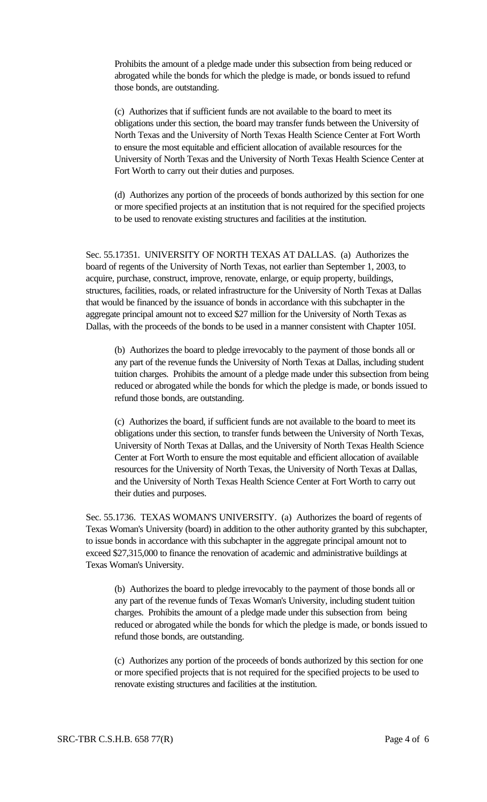Prohibits the amount of a pledge made under this subsection from being reduced or abrogated while the bonds for which the pledge is made, or bonds issued to refund those bonds, are outstanding.

(c) Authorizes that if sufficient funds are not available to the board to meet its obligations under this section, the board may transfer funds between the University of North Texas and the University of North Texas Health Science Center at Fort Worth to ensure the most equitable and efficient allocation of available resources for the University of North Texas and the University of North Texas Health Science Center at Fort Worth to carry out their duties and purposes.

(d) Authorizes any portion of the proceeds of bonds authorized by this section for one or more specified projects at an institution that is not required for the specified projects to be used to renovate existing structures and facilities at the institution.

Sec. 55.17351. UNIVERSITY OF NORTH TEXAS AT DALLAS. (a) Authorizes the board of regents of the University of North Texas, not earlier than September 1, 2003, to acquire, purchase, construct, improve, renovate, enlarge, or equip property, buildings, structures, facilities, roads, or related infrastructure for the University of North Texas at Dallas that would be financed by the issuance of bonds in accordance with this subchapter in the aggregate principal amount not to exceed \$27 million for the University of North Texas as Dallas, with the proceeds of the bonds to be used in a manner consistent with Chapter 105I.

(b) Authorizes the board to pledge irrevocably to the payment of those bonds all or any part of the revenue funds the University of North Texas at Dallas, including student tuition charges. Prohibits the amount of a pledge made under this subsection from being reduced or abrogated while the bonds for which the pledge is made, or bonds issued to refund those bonds, are outstanding.

(c) Authorizes the board, if sufficient funds are not available to the board to meet its obligations under this section, to transfer funds between the University of North Texas, University of North Texas at Dallas, and the University of North Texas Health Science Center at Fort Worth to ensure the most equitable and efficient allocation of available resources for the University of North Texas, the University of North Texas at Dallas, and the University of North Texas Health Science Center at Fort Worth to carry out their duties and purposes.

Sec. 55.1736. TEXAS WOMAN'S UNIVERSITY. (a) Authorizes the board of regents of Texas Woman's University (board) in addition to the other authority granted by this subchapter, to issue bonds in accordance with this subchapter in the aggregate principal amount not to exceed \$27,315,000 to finance the renovation of academic and administrative buildings at Texas Woman's University.

(b) Authorizes the board to pledge irrevocably to the payment of those bonds all or any part of the revenue funds of Texas Woman's University, including student tuition charges. Prohibits the amount of a pledge made under this subsection from being reduced or abrogated while the bonds for which the pledge is made, or bonds issued to refund those bonds, are outstanding.

(c) Authorizes any portion of the proceeds of bonds authorized by this section for one or more specified projects that is not required for the specified projects to be used to renovate existing structures and facilities at the institution.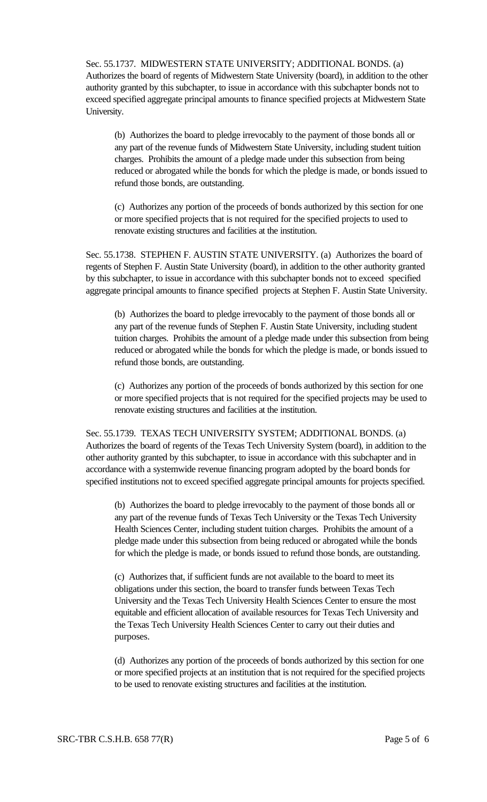Sec. 55.1737. MIDWESTERN STATE UNIVERSITY; ADDITIONAL BONDS. (a) Authorizes the board of regents of Midwestern State University (board), in addition to the other authority granted by this subchapter, to issue in accordance with this subchapter bonds not to exceed specified aggregate principal amounts to finance specified projects at Midwestern State University.

(b) Authorizes the board to pledge irrevocably to the payment of those bonds all or any part of the revenue funds of Midwestern State University, including student tuition charges. Prohibits the amount of a pledge made under this subsection from being reduced or abrogated while the bonds for which the pledge is made, or bonds issued to refund those bonds, are outstanding.

(c) Authorizes any portion of the proceeds of bonds authorized by this section for one or more specified projects that is not required for the specified projects to used to renovate existing structures and facilities at the institution.

Sec. 55.1738. STEPHEN F. AUSTIN STATE UNIVERSITY. (a) Authorizes the board of regents of Stephen F. Austin State University (board), in addition to the other authority granted by this subchapter, to issue in accordance with this subchapter bonds not to exceed specified aggregate principal amounts to finance specified projects at Stephen F. Austin State University.

(b) Authorizes the board to pledge irrevocably to the payment of those bonds all or any part of the revenue funds of Stephen F. Austin State University, including student tuition charges. Prohibits the amount of a pledge made under this subsection from being reduced or abrogated while the bonds for which the pledge is made, or bonds issued to refund those bonds, are outstanding.

(c) Authorizes any portion of the proceeds of bonds authorized by this section for one or more specified projects that is not required for the specified projects may be used to renovate existing structures and facilities at the institution.

Sec. 55.1739. TEXAS TECH UNIVERSITY SYSTEM; ADDITIONAL BONDS. (a) Authorizes the board of regents of the Texas Tech University System (board), in addition to the other authority granted by this subchapter, to issue in accordance with this subchapter and in accordance with a systemwide revenue financing program adopted by the board bonds for specified institutions not to exceed specified aggregate principal amounts for projects specified.

(b) Authorizes the board to pledge irrevocably to the payment of those bonds all or any part of the revenue funds of Texas Tech University or the Texas Tech University Health Sciences Center, including student tuition charges. Prohibits the amount of a pledge made under this subsection from being reduced or abrogated while the bonds for which the pledge is made, or bonds issued to refund those bonds, are outstanding.

(c) Authorizes that, if sufficient funds are not available to the board to meet its obligations under this section, the board to transfer funds between Texas Tech University and the Texas Tech University Health Sciences Center to ensure the most equitable and efficient allocation of available resources for Texas Tech University and the Texas Tech University Health Sciences Center to carry out their duties and purposes.

(d) Authorizes any portion of the proceeds of bonds authorized by this section for one or more specified projects at an institution that is not required for the specified projects to be used to renovate existing structures and facilities at the institution.